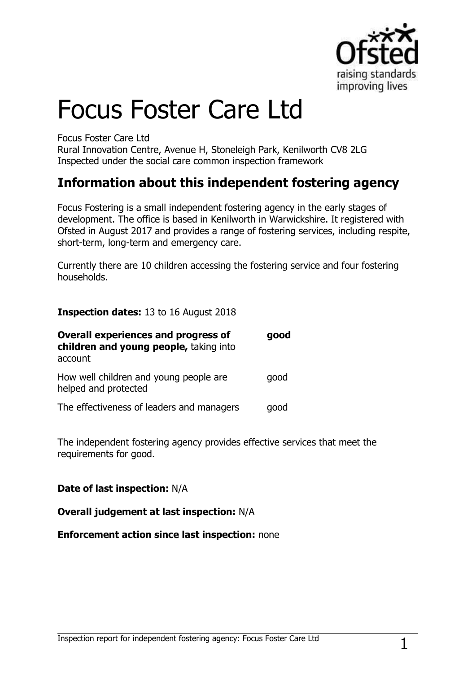

# Focus Foster Care Ltd

Focus Foster Care Ltd

Rural Innovation Centre, Avenue H, Stoneleigh Park, Kenilworth CV8 2LG Inspected under the social care common inspection framework

## **Information about this independent fostering agency**

Focus Fostering is a small independent fostering agency in the early stages of development. The office is based in Kenilworth in Warwickshire. It registered with Ofsted in August 2017 and provides a range of fostering services, including respite, short-term, long-term and emergency care.

Currently there are 10 children accessing the fostering service and four fostering households.

**Inspection dates:** 13 to 16 August 2018

| <b>Overall experiences and progress of</b><br>children and young people, taking into<br>account | good |
|-------------------------------------------------------------------------------------------------|------|
| How well children and young people are<br>helped and protected                                  | qood |
| The effectiveness of leaders and managers                                                       | qood |

The independent fostering agency provides effective services that meet the requirements for good.

#### **Date of last inspection:** N/A

#### **Overall judgement at last inspection:** N/A

#### **Enforcement action since last inspection:** none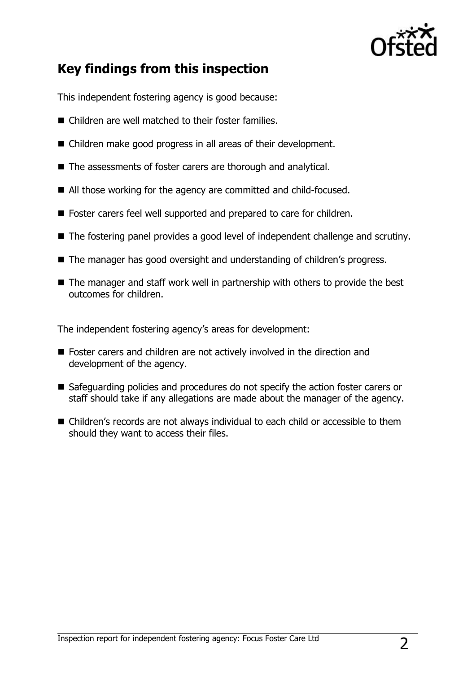

# **Key findings from this inspection**

This independent fostering agency is good because:

- Children are well matched to their foster families.
- Children make good progress in all areas of their development.
- The assessments of foster carers are thorough and analytical.
- All those working for the agency are committed and child-focused.
- Foster carers feel well supported and prepared to care for children.
- The fostering panel provides a good level of independent challenge and scrutiny.
- The manager has good oversight and understanding of children's progress.
- The manager and staff work well in partnership with others to provide the best outcomes for children.

The independent fostering agency's areas for development:

- **Foster carers and children are not actively involved in the direction and** development of the agency.
- Safeguarding policies and procedures do not specify the action foster carers or staff should take if any allegations are made about the manager of the agency.
- Children's records are not always individual to each child or accessible to them should they want to access their files.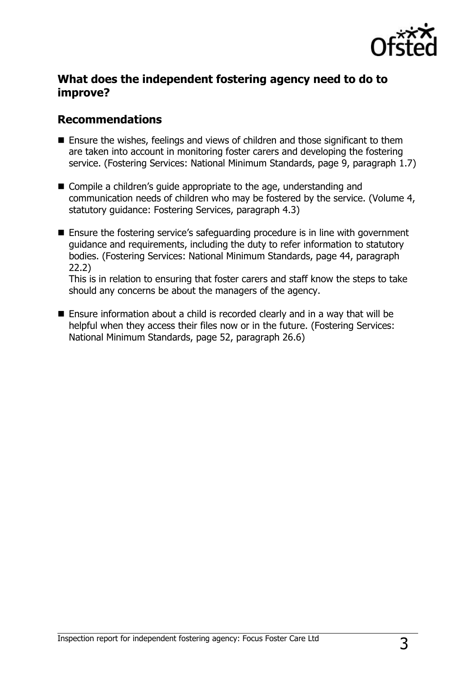

### **What does the independent fostering agency need to do to improve?**

### **Recommendations**

- Ensure the wishes, feelings and views of children and those significant to them are taken into account in monitoring foster carers and developing the fostering service. (Fostering Services: National Minimum Standards, page 9, paragraph 1.7)
- Compile a children's guide appropriate to the age, understanding and communication needs of children who may be fostered by the service. (Volume 4, statutory guidance: Fostering Services, paragraph 4.3)
- Ensure the fostering service's safeguarding procedure is in line with government guidance and requirements, including the duty to refer information to statutory bodies. (Fostering Services: National Minimum Standards, page 44, paragraph 22.2)

This is in relation to ensuring that foster carers and staff know the steps to take should any concerns be about the managers of the agency.

■ Ensure information about a child is recorded clearly and in a way that will be helpful when they access their files now or in the future. (Fostering Services: National Minimum Standards, page 52, paragraph 26.6)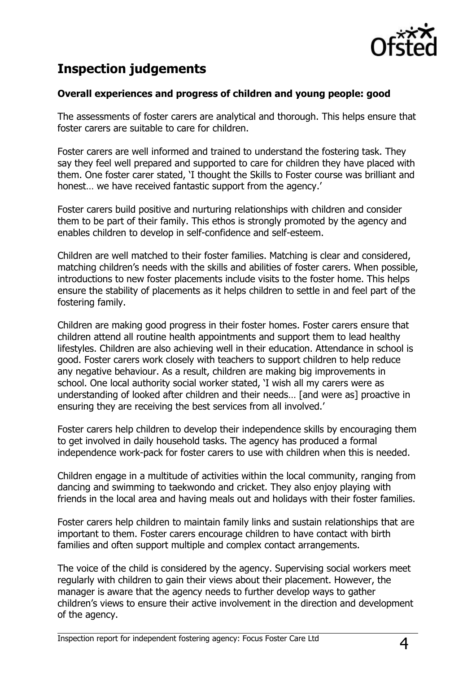

# **Inspection judgements**

### **Overall experiences and progress of children and young people: good**

The assessments of foster carers are analytical and thorough. This helps ensure that foster carers are suitable to care for children.

Foster carers are well informed and trained to understand the fostering task. They say they feel well prepared and supported to care for children they have placed with them. One foster carer stated, 'I thought the Skills to Foster course was brilliant and honest... we have received fantastic support from the agency.'

Foster carers build positive and nurturing relationships with children and consider them to be part of their family. This ethos is strongly promoted by the agency and enables children to develop in self-confidence and self-esteem.

Children are well matched to their foster families. Matching is clear and considered, matching children's needs with the skills and abilities of foster carers. When possible, introductions to new foster placements include visits to the foster home. This helps ensure the stability of placements as it helps children to settle in and feel part of the fostering family.

Children are making good progress in their foster homes. Foster carers ensure that children attend all routine health appointments and support them to lead healthy lifestyles. Children are also achieving well in their education. Attendance in school is good. Foster carers work closely with teachers to support children to help reduce any negative behaviour. As a result, children are making big improvements in school. One local authority social worker stated, 'I wish all my carers were as understanding of looked after children and their needs… [and were as] proactive in ensuring they are receiving the best services from all involved.'

Foster carers help children to develop their independence skills by encouraging them to get involved in daily household tasks. The agency has produced a formal independence work-pack for foster carers to use with children when this is needed.

Children engage in a multitude of activities within the local community, ranging from dancing and swimming to taekwondo and cricket. They also enjoy playing with friends in the local area and having meals out and holidays with their foster families.

Foster carers help children to maintain family links and sustain relationships that are important to them. Foster carers encourage children to have contact with birth families and often support multiple and complex contact arrangements.

The voice of the child is considered by the agency. Supervising social workers meet regularly with children to gain their views about their placement. However, the manager is aware that the agency needs to further develop ways to gather children's views to ensure their active involvement in the direction and development of the agency.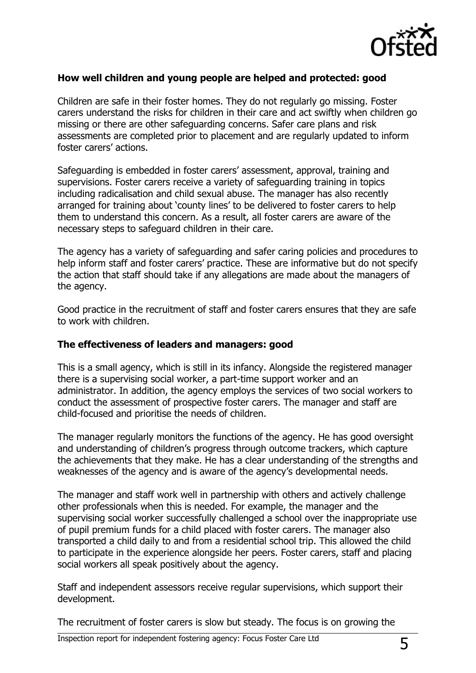

#### **How well children and young people are helped and protected: good**

Children are safe in their foster homes. They do not regularly go missing. Foster carers understand the risks for children in their care and act swiftly when children go missing or there are other safeguarding concerns. Safer care plans and risk assessments are completed prior to placement and are regularly updated to inform foster carers' actions.

Safeguarding is embedded in foster carers' assessment, approval, training and supervisions. Foster carers receive a variety of safeguarding training in topics including radicalisation and child sexual abuse. The manager has also recently arranged for training about 'county lines' to be delivered to foster carers to help them to understand this concern. As a result, all foster carers are aware of the necessary steps to safeguard children in their care.

The agency has a variety of safeguarding and safer caring policies and procedures to help inform staff and foster carers' practice. These are informative but do not specify the action that staff should take if any allegations are made about the managers of the agency.

Good practice in the recruitment of staff and foster carers ensures that they are safe to work with children.

#### **The effectiveness of leaders and managers: good**

This is a small agency, which is still in its infancy. Alongside the registered manager there is a supervising social worker, a part-time support worker and an administrator. In addition, the agency employs the services of two social workers to conduct the assessment of prospective foster carers. The manager and staff are child-focused and prioritise the needs of children.

The manager regularly monitors the functions of the agency. He has good oversight and understanding of children's progress through outcome trackers, which capture the achievements that they make. He has a clear understanding of the strengths and weaknesses of the agency and is aware of the agency's developmental needs.

The manager and staff work well in partnership with others and actively challenge other professionals when this is needed. For example, the manager and the supervising social worker successfully challenged a school over the inappropriate use of pupil premium funds for a child placed with foster carers. The manager also transported a child daily to and from a residential school trip. This allowed the child to participate in the experience alongside her peers. Foster carers, staff and placing social workers all speak positively about the agency.

Staff and independent assessors receive regular supervisions, which support their development.

The recruitment of foster carers is slow but steady. The focus is on growing the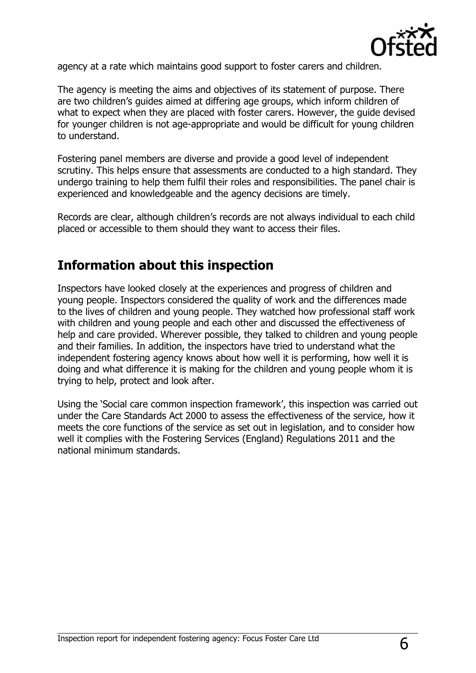

agency at a rate which maintains good support to foster carers and children.

The agency is meeting the aims and objectives of its statement of purpose. There are two children's guides aimed at differing age groups, which inform children of what to expect when they are placed with foster carers. However, the guide devised for younger children is not age-appropriate and would be difficult for young children to understand.

Fostering panel members are diverse and provide a good level of independent scrutiny. This helps ensure that assessments are conducted to a high standard. They undergo training to help them fulfil their roles and responsibilities. The panel chair is experienced and knowledgeable and the agency decisions are timely.

Records are clear, although children's records are not always individual to each child placed or accessible to them should they want to access their files.

### **Information about this inspection**

Inspectors have looked closely at the experiences and progress of children and young people. Inspectors considered the quality of work and the differences made to the lives of children and young people. They watched how professional staff work with children and young people and each other and discussed the effectiveness of help and care provided. Wherever possible, they talked to children and young people and their families. In addition, the inspectors have tried to understand what the independent fostering agency knows about how well it is performing, how well it is doing and what difference it is making for the children and young people whom it is trying to help, protect and look after.

Using the 'Social care common inspection framework', this inspection was carried out under the Care Standards Act 2000 to assess the effectiveness of the service, how it meets the core functions of the service as set out in legislation, and to consider how well it complies with the Fostering Services (England) Regulations 2011 and the national minimum standards.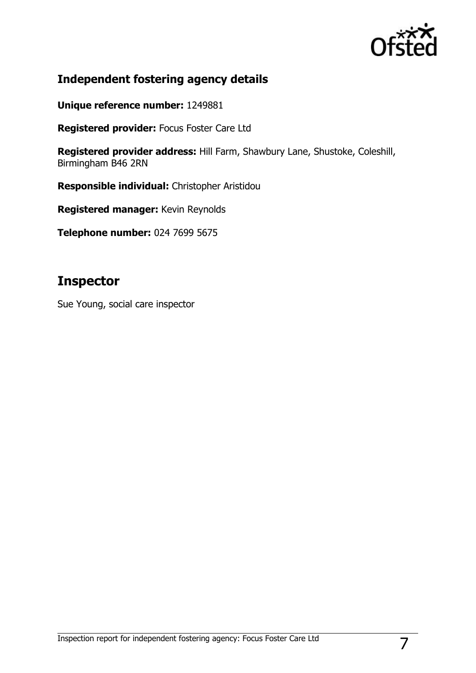

### **Independent fostering agency details**

**Unique reference number:** 1249881

**Registered provider:** Focus Foster Care Ltd

**Registered provider address:** Hill Farm, Shawbury Lane, Shustoke, Coleshill, Birmingham B46 2RN

**Responsible individual:** Christopher Aristidou

**Registered manager:** Kevin Reynolds

**Telephone number:** 024 7699 5675

### **Inspector**

Sue Young, social care inspector